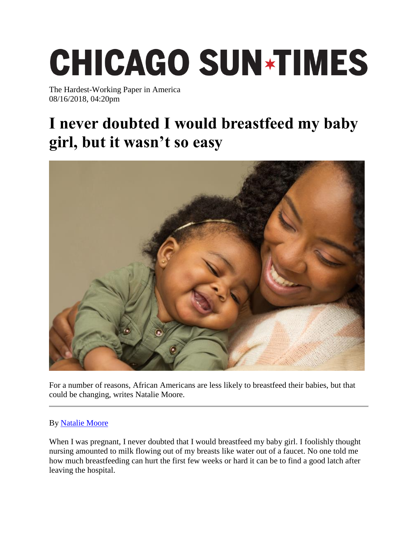## **CHICAGO SUN\*TIMES**

The Hardest-Working Paper in America 08/16/2018, 04:20pm

## **I never doubted I would breastfeed my baby girl, but it wasn't so easy**



For a number of reasons, African Americans are less likely to breastfeed their babies, but that could be changing, writes Natalie Moore.

## By [Natalie Moore](https://chicago.suntimes.com/author/natalie-moore/)

When I was pregnant, I never doubted that I would breastfeed my baby girl. I foolishly thought nursing amounted to milk flowing out of my breasts like water out of a faucet. No one told me how much breastfeeding can hurt the first few weeks or hard it can be to find a good latch after leaving the hospital.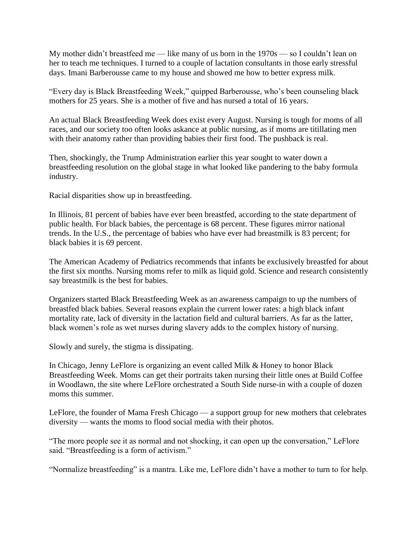My mother didn't breastfeed me — like many of us born in the 1970s — so I couldn't lean on her to teach me techniques. I turned to a couple of lactation consultants in those early stressful days. Imani Barberousse came to my house and showed me how to better express milk.

"Every day is Black Breastfeeding Week," quipped Barberousse, who's been counseling black mothers for 25 years. She is a mother of five and has nursed a total of 16 years.

An actual Black Breastfeeding Week does exist every August. Nursing is tough for moms of all races, and our society too often looks askance at public nursing, as if moms are titillating men with their anatomy rather than providing babies their first food. The pushback is real.

Then, shockingly, the Trump Administration earlier this year sought to water down a breastfeeding resolution on the global stage in what looked like pandering to the baby formula industry.

Racial disparities show up in breastfeeding.

In Illinois, 81 percent of babies have ever been breastfed, according to the state department of public health. For black babies, the percentage is 68 percent. These figures mirror national trends. In the U.S., the percentage of babies who have ever had breastmilk is 83 percent; for black babies it is 69 percent.

The American Academy of Pediatrics recommends that infants be exclusively breastfed for about the first six months. Nursing moms refer to milk as liquid gold. Science and research consistently say breastmilk is the best for babies.

Organizers started Black Breastfeeding Week as an awareness campaign to up the numbers of breastfed black babies. Several reasons explain the current lower rates: a high black infant mortality rate, lack of diversity in the lactation field and cultural barriers. As far as the latter, black women's role as wet nurses during slavery adds to the complex history of nursing.

Slowly and surely, the stigma is dissipating.

In Chicago, Jenny LeFlore is organizing an event called Milk & Honey to honor Black Breastfeeding Week. Moms can get their portraits taken nursing their little ones at Build Coffee in Woodlawn, the site where LeFlore orchestrated a South Side nurse-in with a couple of dozen moms this summer.

LeFlore, the founder of Mama Fresh Chicago — a support group for new mothers that celebrates diversity — wants the moms to flood social media with their photos.

"The more people see it as normal and not shocking, it can open up the conversation," LeFlore said. "Breastfeeding is a form of activism."

"Normalize breastfeeding" is a mantra. Like me, LeFlore didn't have a mother to turn to for help.